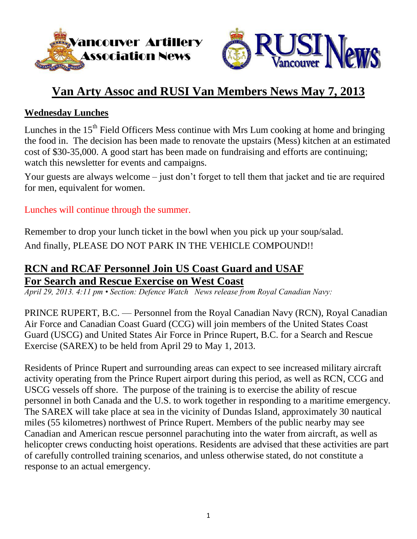



# **Van Arty Assoc and RUSI Van Members News May 7, 2013**

#### **Wednesday Lunches**

Lunches in the  $15<sup>th</sup>$  Field Officers Mess continue with Mrs Lum cooking at home and bringing the food in. The decision has been made to renovate the upstairs (Mess) kitchen at an estimated cost of \$30-35,000. A good start has been made on fundraising and efforts are continuing; watch this newsletter for events and campaigns.

Your guests are always welcome – just don't forget to tell them that jacket and tie are required for men, equivalent for women.

Lunches will continue through the summer.

Remember to drop your lunch ticket in the bowl when you pick up your soup/salad. And finally, PLEASE DO NOT PARK IN THE VEHICLE COMPOUND!!

## **RCN and RCAF Personnel Join US Coast Guard and USAF For Search and Rescue Exercise on West Coast**

*April 29, 2013. 4:11 pm • Section: Defence Watch News release from Royal Canadian Navy:*

PRINCE RUPERT, B.C. — Personnel from the Royal Canadian Navy (RCN), Royal Canadian Air Force and Canadian Coast Guard (CCG) will join members of the United States Coast Guard (USCG) and United States Air Force in Prince Rupert, B.C. for a Search and Rescue Exercise (SAREX) to be held from April 29 to May 1, 2013.

Residents of Prince Rupert and surrounding areas can expect to see increased military aircraft activity operating from the Prince Rupert airport during this period, as well as RCN, CCG and USCG vessels off shore. The purpose of the training is to exercise the ability of rescue personnel in both Canada and the U.S. to work together in responding to a maritime emergency. The SAREX will take place at sea in the vicinity of Dundas Island, approximately 30 nautical miles (55 kilometres) northwest of Prince Rupert. Members of the public nearby may see Canadian and American rescue personnel parachuting into the water from aircraft, as well as helicopter crews conducting hoist operations. Residents are advised that these activities are part of carefully controlled training scenarios, and unless otherwise stated, do not constitute a response to an actual emergency.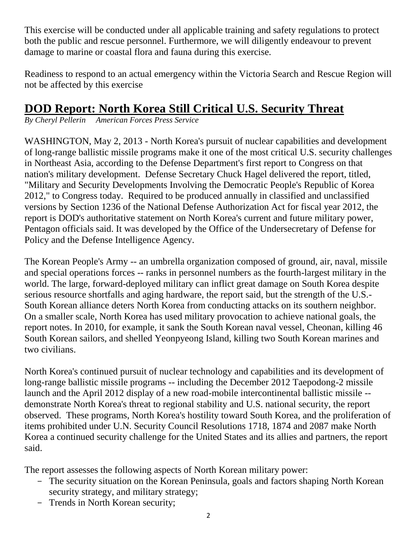This exercise will be conducted under all applicable training and safety regulations to protect both the public and rescue personnel. Furthermore, we will diligently endeavour to prevent damage to marine or coastal flora and fauna during this exercise.

Readiness to respond to an actual emergency within the Victoria Search and Rescue Region will not be affected by this exercise

# **DOD Report: North Korea Still Critical U.S. Security Threat**

*By Cheryl Pellerin American Forces Press Service*

WASHINGTON, May 2, 2013 - North Korea's pursuit of nuclear capabilities and development of long-range ballistic missile programs make it one of the most critical U.S. security challenges in Northeast Asia, according to the Defense Department's first report to Congress on that nation's military development. Defense Secretary Chuck Hagel delivered the report, titled, "Military and Security Developments Involving the Democratic People's Republic of Korea 2012," to Congress today. Required to be produced annually in classified and unclassified versions by Section 1236 of the National Defense Authorization Act for fiscal year 2012, the report is DOD's authoritative statement on North Korea's current and future military power, Pentagon officials said. It was developed by the Office of the Undersecretary of Defense for Policy and the Defense Intelligence Agency.

The Korean People's Army -- an umbrella organization composed of ground, air, naval, missile and special operations forces -- ranks in personnel numbers as the fourth-largest military in the world. The large, forward-deployed military can inflict great damage on South Korea despite serious resource shortfalls and aging hardware, the report said, but the strength of the U.S.- South Korean alliance deters North Korea from conducting attacks on its southern neighbor. On a smaller scale, North Korea has used military provocation to achieve national goals, the report notes. In 2010, for example, it sank the South Korean naval vessel, Cheonan, killing 46 South Korean sailors, and shelled Yeonpyeong Island, killing two South Korean marines and two civilians.

North Korea's continued pursuit of nuclear technology and capabilities and its development of long-range ballistic missile programs -- including the December 2012 Taepodong-2 missile launch and the April 2012 display of a new road-mobile intercontinental ballistic missile - demonstrate North Korea's threat to regional stability and U.S. national security, the report observed. These programs, North Korea's hostility toward South Korea, and the proliferation of items prohibited under U.N. Security Council Resolutions 1718, 1874 and 2087 make North Korea a continued security challenge for the United States and its allies and partners, the report said.

The report assesses the following aspects of North Korean military power:

- The security situation on the Korean Peninsula, goals and factors shaping North Korean security strategy, and military strategy;
- Trends in North Korean security;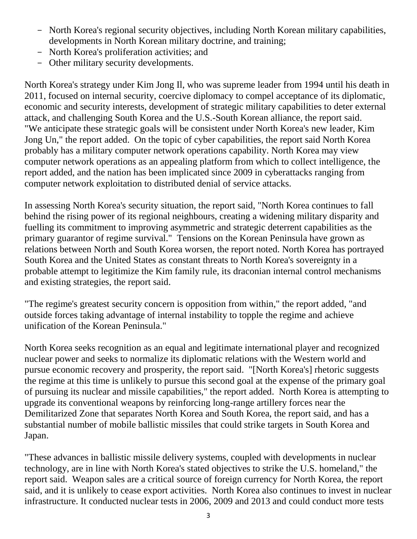- North Korea's regional security objectives, including North Korean military capabilities, developments in North Korean military doctrine, and training;
- North Korea's proliferation activities; and
- Other military security developments.

North Korea's strategy under Kim Jong Il, who was supreme leader from 1994 until his death in 2011, focused on internal security, coercive diplomacy to compel acceptance of its diplomatic, economic and security interests, development of strategic military capabilities to deter external attack, and challenging South Korea and the U.S.-South Korean alliance, the report said. "We anticipate these strategic goals will be consistent under North Korea's new leader, Kim Jong Un," the report added. On the topic of cyber capabilities, the report said North Korea probably has a military computer network operations capability. North Korea may view computer network operations as an appealing platform from which to collect intelligence, the report added, and the nation has been implicated since 2009 in cyberattacks ranging from computer network exploitation to distributed denial of service attacks.

In assessing North Korea's security situation, the report said, "North Korea continues to fall behind the rising power of its regional neighbours, creating a widening military disparity and fuelling its commitment to improving asymmetric and strategic deterrent capabilities as the primary guarantor of regime survival." Tensions on the Korean Peninsula have grown as relations between North and South Korea worsen, the report noted. North Korea has portrayed South Korea and the United States as constant threats to North Korea's sovereignty in a probable attempt to legitimize the Kim family rule, its draconian internal control mechanisms and existing strategies, the report said.

"The regime's greatest security concern is opposition from within," the report added, "and outside forces taking advantage of internal instability to topple the regime and achieve unification of the Korean Peninsula."

North Korea seeks recognition as an equal and legitimate international player and recognized nuclear power and seeks to normalize its diplomatic relations with the Western world and pursue economic recovery and prosperity, the report said. "[North Korea's] rhetoric suggests the regime at this time is unlikely to pursue this second goal at the expense of the primary goal of pursuing its nuclear and missile capabilities," the report added. North Korea is attempting to upgrade its conventional weapons by reinforcing long-range artillery forces near the Demilitarized Zone that separates North Korea and South Korea, the report said, and has a substantial number of mobile ballistic missiles that could strike targets in South Korea and Japan.

"These advances in ballistic missile delivery systems, coupled with developments in nuclear technology, are in line with North Korea's stated objectives to strike the U.S. homeland," the report said. Weapon sales are a critical source of foreign currency for North Korea, the report said, and it is unlikely to cease export activities. North Korea also continues to invest in nuclear infrastructure. It conducted nuclear tests in 2006, 2009 and 2013 and could conduct more tests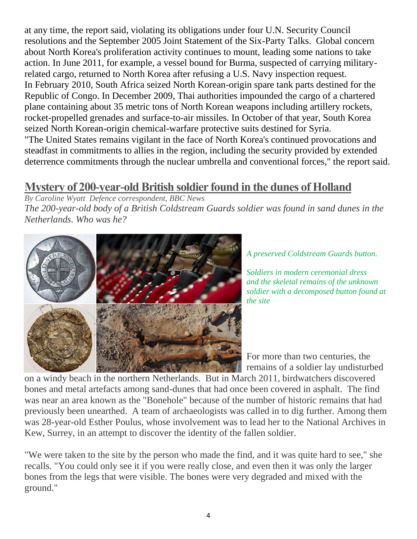at any time, the report said, violating its obligations under four U.N. Security Council resolutions and the September 2005 Joint Statement of the Six-Party Talks. Global concern about North Korea's proliferation activity continues to mount, leading some nations to take action. In June 2011, for example, a vessel bound for Burma, suspected of carrying militaryrelated cargo, returned to North Korea after refusing a U.S. Navy inspection request. In February 2010, South Africa seized North Korean-origin spare tank parts destined for the Republic of Congo. In December 2009, Thai authorities impounded the cargo of a chartered plane containing about 35 metric tons of North Korean weapons including artillery rockets, rocket-propelled grenades and surface-to-air missiles. In October of that year, South Korea seized North Korean-origin chemical-warfare protective suits destined for Syria. "The United States remains vigilant in the face of North Korea's continued provocations and steadfast in commitments to allies in the region, including the security provided by extended deterrence commitments through the nuclear umbrella and conventional forces," the report said.

# **Mystery of 200-year-old British soldier found in the dunes of Holland**

*By Caroline Wyatt Defence correspondent, BBC News The 200-year-old body of a British Coldstream Guards soldier was found in sand dunes in the Netherlands. Who was he?*



*A preserved Coldstream Guards button.* 

*Soldiers in modern ceremonial dress and the skeletal remains of the unknown soldier with a decomposed button found at the site*

For more than two centuries, the remains of a soldier lay undisturbed

on a windy beach in the northern Netherlands. But in March 2011, birdwatchers discovered bones and metal artefacts among sand-dunes that had once been covered in asphalt. The find was near an area known as the "Bonehole" because of the number of historic remains that had previously been unearthed. A team of archaeologists was called in to dig further. Among them was 28-year-old Esther Poulus, whose involvement was to lead her to the National Archives in Kew, Surrey, in an attempt to discover the identity of the fallen soldier.

"We were taken to the site by the person who made the find, and it was quite hard to see," she recalls. "You could only see it if you were really close, and even then it was only the larger bones from the legs that were visible. The bones were very degraded and mixed with the ground."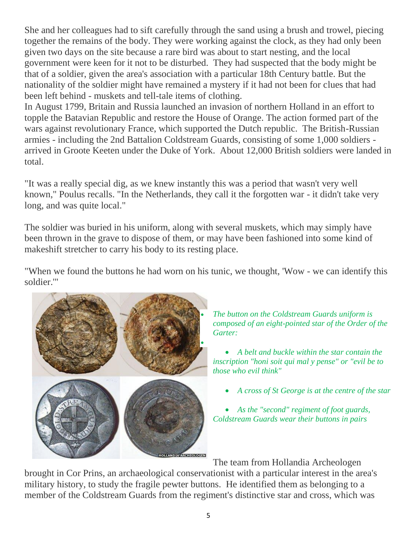She and her colleagues had to sift carefully through the sand using a brush and trowel, piecing together the remains of the body. They were working against the clock, as they had only been given two days on the site because a rare bird was about to start nesting, and the local government were keen for it not to be disturbed. They had suspected that the body might be that of a soldier, given the area's association with a particular 18th Century battle. But the nationality of the soldier might have remained a mystery if it had not been for clues that had been left behind - muskets and tell-tale items of clothing.

In August 1799, Britain and Russia launched an invasion of northern Holland in an effort to topple the Batavian Republic and restore the House of Orange. The action formed part of the wars against revolutionary France, which supported the Dutch republic. The British-Russian armies - including the 2nd Battalion Coldstream Guards, consisting of some 1,000 soldiers arrived in Groote Keeten under the Duke of York. About 12,000 British soldiers were landed in total.

"It was a really special dig, as we knew instantly this was a period that wasn't very well known," Poulus recalls. "In the Netherlands, they call it the forgotten war - it didn't take very long, and was quite local."

The soldier was buried in his uniform, along with several muskets, which may simply have been thrown in the grave to dispose of them, or may have been fashioned into some kind of makeshift stretcher to carry his body to its resting place.

"When we found the buttons he had worn on his tunic, we thought, 'Wow - we can identify this soldier.'"



 *The button on the Coldstream Guards uniform is composed of an eight-pointed star of the Order of the Garter:*

 *A belt and buckle within the star contain the inscription "honi soit qui mal y pense" or "evil be to those who evil think"*

*A cross of St George is at the centre of the star*

 *As the "second" regiment of foot guards, Coldstream Guards wear their buttons in pairs*

The team from Hollandia Archeologen

brought in Cor Prins, an archaeological conservationist with a particular interest in the area's military history, to study the fragile pewter buttons. He identified them as belonging to a member of the Coldstream Guards from the regiment's distinctive star and cross, which was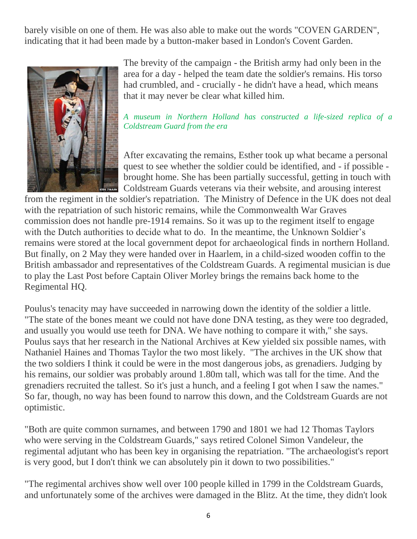barely visible on one of them. He was also able to make out the words "COVEN GARDEN", indicating that it had been made by a button-maker based in London's Covent Garden.



The brevity of the campaign - the British army had only been in the area for a day - helped the team date the soldier's remains. His torso had crumbled, and - crucially - he didn't have a head, which means that it may never be clear what killed him.

*A museum in Northern Holland has constructed a life-sized replica of a Coldstream Guard from the era*

After excavating the remains, Esther took up what became a personal quest to see whether the soldier could be identified, and - if possible brought home. She has been partially successful, getting in touch with Coldstream Guards veterans via their website, and arousing interest

from the regiment in the soldier's repatriation. The Ministry of Defence in the UK does not deal with the repatriation of such historic remains, while the Commonwealth War Graves commission does not handle pre-1914 remains. So it was up to the regiment itself to engage with the Dutch authorities to decide what to do. In the meantime, the Unknown Soldier's remains were stored at the local government depot for archaeological finds in northern Holland. But finally, on 2 May they were handed over in Haarlem, in a child-sized wooden coffin to the British ambassador and representatives of the Coldstream Guards. A regimental musician is due to play the Last Post before Captain Oliver Morley brings the remains back home to the Regimental HQ.

Poulus's tenacity may have succeeded in narrowing down the identity of the soldier a little. "The state of the bones meant we could not have done DNA testing, as they were too degraded, and usually you would use teeth for DNA. We have nothing to compare it with," she says. Poulus says that her research in the National Archives at Kew yielded six possible names, with Nathaniel Haines and Thomas Taylor the two most likely. "The archives in the UK show that the two soldiers I think it could be were in the most dangerous jobs, as grenadiers. Judging by his remains, our soldier was probably around 1.80m tall, which was tall for the time. And the grenadiers recruited the tallest. So it's just a hunch, and a feeling I got when I saw the names." So far, though, no way has been found to narrow this down, and the Coldstream Guards are not optimistic.

"Both are quite common surnames, and between 1790 and 1801 we had 12 Thomas Taylors who were serving in the Coldstream Guards," says retired Colonel Simon Vandeleur, the regimental adjutant who has been key in organising the repatriation. "The archaeologist's report is very good, but I don't think we can absolutely pin it down to two possibilities."

"The regimental archives show well over 100 people killed in 1799 in the Coldstream Guards, and unfortunately some of the archives were damaged in the Blitz. At the time, they didn't look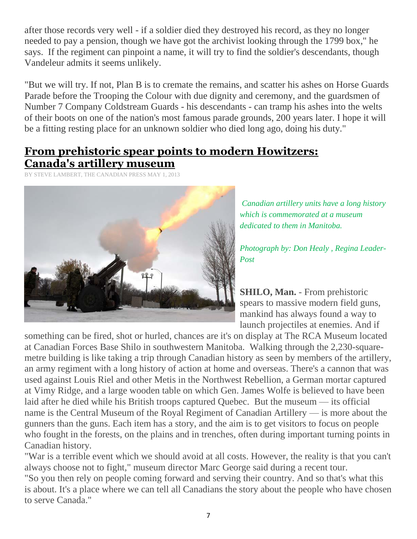after those records very well - if a soldier died they destroyed his record, as they no longer needed to pay a pension, though we have got the archivist looking through the 1799 box," he says. If the regiment can pinpoint a name, it will try to find the soldier's descendants, though Vandeleur admits it seems unlikely.

"But we will try. If not, Plan B is to cremate the remains, and scatter his ashes on Horse Guards Parade before the Trooping the Colour with due dignity and ceremony, and the guardsmen of Number 7 Company Coldstream Guards - his descendants - can tramp his ashes into the welts of their boots on one of the nation's most famous parade grounds, 200 years later. I hope it will be a fitting resting place for an unknown soldier who died long ago, doing his duty."

### **From prehistoric spear points to modern Howitzers: Canada's artillery museum**

BY STEVE LAMBERT, THE CANADIAN PRESS MAY 1, 2013



*Canadian artillery units have a long history which is commemorated at a museum dedicated to them in Manitoba.* 

*Photograph by: Don Healy , Regina Leader-Post*

**SHILO, Man.** - From prehistoric spears to massive modern field guns, mankind has always found a way to launch projectiles at enemies. And if

something can be fired, shot or hurled, chances are it's on display at The RCA Museum located at Canadian Forces Base Shilo in southwestern Manitoba. Walking through the 2,230-squaremetre building is like taking a trip through Canadian history as seen by members of the artillery, an army regiment with a long history of action at home and overseas. There's a cannon that was used against Louis Riel and other Metis in the Northwest Rebellion, a German mortar captured at Vimy Ridge, and a large wooden table on which Gen. James Wolfe is believed to have been laid after he died while his British troops captured Quebec. But the museum — its official name is the Central Museum of the Royal Regiment of Canadian Artillery — is more about the gunners than the guns. Each item has a story, and the aim is to get visitors to focus on people who fought in the forests, on the plains and in trenches, often during important turning points in Canadian history.

"War is a terrible event which we should avoid at all costs. However, the reality is that you can't always choose not to fight," museum director Marc George said during a recent tour. "So you then rely on people coming forward and serving their country. And so that's what this is about. It's a place where we can tell all Canadians the story about the people who have chosen to serve Canada."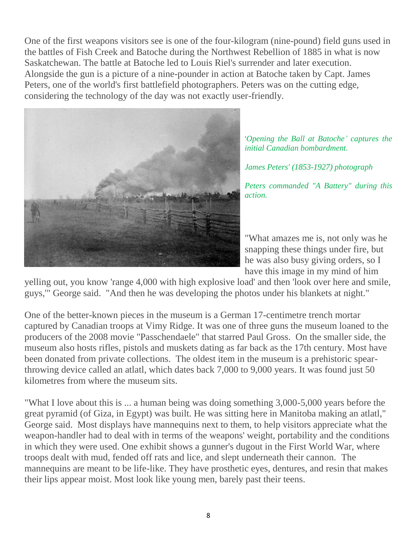One of the first weapons visitors see is one of the four-kilogram (nine-pound) field guns used in the battles of Fish Creek and Batoche during the Northwest Rebellion of 1885 in what is now Saskatchewan. The battle at Batoche led to Louis Riel's surrender and later execution. Alongside the gun is a picture of a nine-pounder in action at Batoche taken by Capt. James Peters, one of the world's first battlefield photographers. Peters was on the cutting edge, considering the technology of the day was not exactly user-friendly.



'*Opening the Ball at Batoche' captures the initial Canadian bombardment.*

*James Peters' (1853-1927) photograph*

*Peters commanded "A Battery" during this action.*

"What amazes me is, not only was he snapping these things under fire, but he was also busy giving orders, so I have this image in my mind of him

yelling out, you know 'range 4,000 with high explosive load' and then 'look over here and smile, guys,'" George said. "And then he was developing the photos under his blankets at night."

One of the better-known pieces in the museum is a German 17-centimetre trench mortar captured by Canadian troops at Vimy Ridge. It was one of three guns the museum loaned to the producers of the 2008 movie "Passchendaele" that starred Paul Gross. On the smaller side, the museum also hosts rifles, pistols and muskets dating as far back as the 17th century. Most have been donated from private collections. The oldest item in the museum is a prehistoric spearthrowing device called an atlatl, which dates back 7,000 to 9,000 years. It was found just 50 kilometres from where the museum sits.

"What I love about this is ... a human being was doing something 3,000-5,000 years before the great pyramid (of Giza, in Egypt) was built. He was sitting here in Manitoba making an atlatl," George said. Most displays have mannequins next to them, to help visitors appreciate what the weapon-handler had to deal with in terms of the weapons' weight, portability and the conditions in which they were used. One exhibit shows a gunner's dugout in the First World War, where troops dealt with mud, fended off rats and lice, and slept underneath their cannon. The mannequins are meant to be life-like. They have prosthetic eyes, dentures, and resin that makes their lips appear moist. Most look like young men, barely past their teens.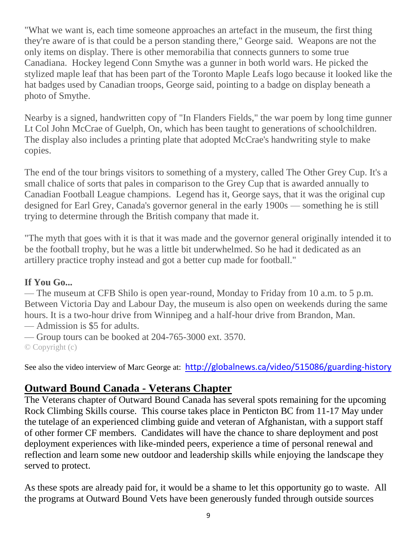"What we want is, each time someone approaches an artefact in the museum, the first thing they're aware of is that could be a person standing there," George said. Weapons are not the only items on display. There is other memorabilia that connects gunners to some true Canadiana. Hockey legend Conn Smythe was a gunner in both world wars. He picked the stylized maple leaf that has been part of the Toronto Maple Leafs logo because it looked like the hat badges used by Canadian troops, George said, pointing to a badge on display beneath a photo of Smythe.

Nearby is a signed, handwritten copy of "In Flanders Fields," the war poem by long time gunner Lt Col John McCrae of Guelph, On, which has been taught to generations of schoolchildren. The display also includes a printing plate that adopted McCrae's handwriting style to make copies.

The end of the tour brings visitors to something of a mystery, called The Other Grey Cup. It's a small chalice of sorts that pales in comparison to the Grey Cup that is awarded annually to Canadian Football League champions. Legend has it, George says, that it was the original cup designed for Earl Grey, Canada's governor general in the early 1900s — something he is still trying to determine through the British company that made it.

"The myth that goes with it is that it was made and the governor general originally intended it to be the football trophy, but he was a little bit underwhelmed. So he had it dedicated as an artillery practice trophy instead and got a better cup made for football."

### **If You Go...**

— The museum at CFB Shilo is open year-round, Monday to Friday from 10 a.m. to 5 p.m. Between Victoria Day and Labour Day, the museum is also open on weekends during the same hours. It is a two-hour drive from Winnipeg and a half-hour drive from Brandon, Man.

— Admission is \$5 for adults.

— Group tours can be booked at 204-765-3000 ext. 3570. © Copyright (c)

See also the video interview of Marc George at: <http://globalnews.ca/video/515086/guarding-history>

## **Outward Bound Canada - Veterans Chapter**

The Veterans chapter of Outward Bound Canada has several spots remaining for the upcoming Rock Climbing Skills course. This course takes place in Penticton BC from 11-17 May under the tutelage of an experienced climbing guide and veteran of Afghanistan, with a support staff of other former CF members. Candidates will have the chance to share deployment and post deployment experiences with like-minded peers, experience a time of personal renewal and reflection and learn some new outdoor and leadership skills while enjoying the landscape they served to protect.

As these spots are already paid for, it would be a shame to let this opportunity go to waste. All the programs at Outward Bound Vets have been generously funded through outside sources